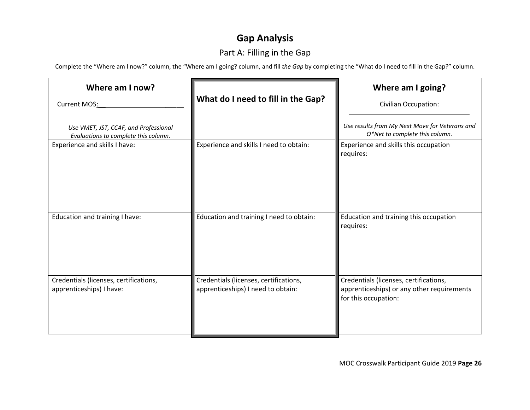# **Gap Analysis**

# Part A: Filling in the Gap

Complete the "Where am I now?" column, the "Where am I going? column, and fill *the Gap* by completing the "What do I need to fill in the Gap?" column.

| Where am I now?<br>Current MOS:                                               | What do I need to fill in the Gap?                                           | Where am I going?<br><b>Civilian Occupation:</b>                                                             |
|-------------------------------------------------------------------------------|------------------------------------------------------------------------------|--------------------------------------------------------------------------------------------------------------|
| Use VMET, JST, CCAF, and Professional<br>Evaluations to complete this column. |                                                                              | Use results from My Next Move for Veterans and<br>O*Net to complete this column.                             |
| Experience and skills I have:                                                 | Experience and skills I need to obtain:                                      | Experience and skills this occupation<br>requires:                                                           |
| Education and training I have:                                                | Education and training I need to obtain:                                     | Education and training this occupation<br>requires:                                                          |
| Credentials (licenses, certifications,<br>apprenticeships) I have:            | Credentials (licenses, certifications,<br>apprenticeships) I need to obtain: | Credentials (licenses, certifications,<br>apprenticeships) or any other requirements<br>for this occupation: |